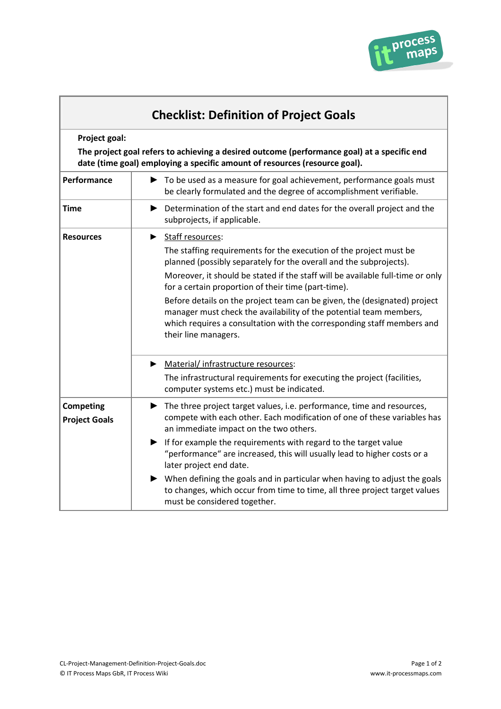

| <b>Checklist: Definition of Project Goals</b>                                                                                                                                              |                                                                                                                                                                                                                                                                                                                                                                                                                                                                                                                                                                 |  |
|--------------------------------------------------------------------------------------------------------------------------------------------------------------------------------------------|-----------------------------------------------------------------------------------------------------------------------------------------------------------------------------------------------------------------------------------------------------------------------------------------------------------------------------------------------------------------------------------------------------------------------------------------------------------------------------------------------------------------------------------------------------------------|--|
| Project goal:<br>The project goal refers to achieving a desired outcome (performance goal) at a specific end<br>date (time goal) employing a specific amount of resources (resource goal). |                                                                                                                                                                                                                                                                                                                                                                                                                                                                                                                                                                 |  |
| Performance                                                                                                                                                                                | To be used as a measure for goal achievement, performance goals must<br>be clearly formulated and the degree of accomplishment verifiable.                                                                                                                                                                                                                                                                                                                                                                                                                      |  |
| Time                                                                                                                                                                                       | Determination of the start and end dates for the overall project and the<br>▶<br>subprojects, if applicable.                                                                                                                                                                                                                                                                                                                                                                                                                                                    |  |
| <b>Resources</b>                                                                                                                                                                           | Staff resources:<br>▶<br>The staffing requirements for the execution of the project must be<br>planned (possibly separately for the overall and the subprojects).<br>Moreover, it should be stated if the staff will be available full-time or only<br>for a certain proportion of their time (part-time).<br>Before details on the project team can be given, the (designated) project<br>manager must check the availability of the potential team members,<br>which requires a consultation with the corresponding staff members and<br>their line managers. |  |
|                                                                                                                                                                                            | Material/ infrastructure resources:<br>▶<br>The infrastructural requirements for executing the project (facilities,<br>computer systems etc.) must be indicated.                                                                                                                                                                                                                                                                                                                                                                                                |  |
| <b>Competing</b><br><b>Project Goals</b>                                                                                                                                                   | The three project target values, i.e. performance, time and resources,<br>compete with each other. Each modification of one of these variables has<br>an immediate impact on the two others.                                                                                                                                                                                                                                                                                                                                                                    |  |
|                                                                                                                                                                                            | $\blacktriangleright$ If for example the requirements with regard to the target value<br>"performance" are increased, this will usually lead to higher costs or a<br>later project end date.<br>When defining the goals and in particular when having to adjust the goals<br>to changes, which occur from time to time, all three project target values                                                                                                                                                                                                         |  |
|                                                                                                                                                                                            | must be considered together.                                                                                                                                                                                                                                                                                                                                                                                                                                                                                                                                    |  |